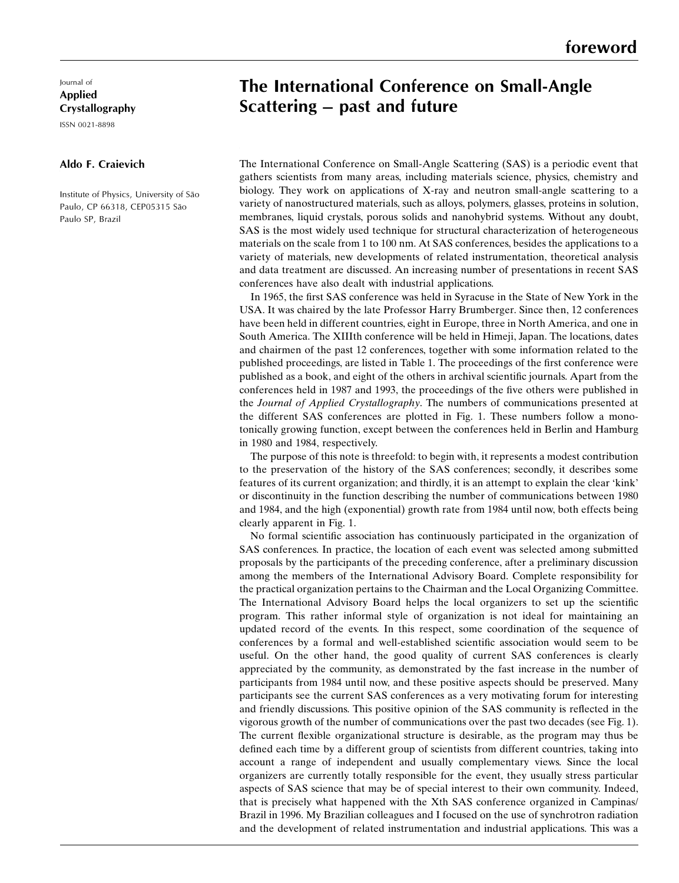## The International Conference on Small-Angle Scattering  $-$  past and future

gathers scientists from many areas, including materials science, physics, chemistry and The International Conference on Small-Angle Scattering (SAS) is a periodic event that biology. They work on applications of X-ray and neutron small-angle scattering to a variety of nanostructured materials, such as alloys, polymers, glasses, proteins in solution, membranes, liquid crystals, porous solids and nanohybrid systems. Without any doubt, SAS is the most widely used technique for structural characterization of heterogeneous materials on the scale from 1 to 100 nm. At SAS conferences, besides the applications to a variety of materials, new developments of related instrumentation, theoretical analysis and data treatment are discussed. An increasing number of presentations in recent SAS conferences have also dealt with industrial applications.

In 1965, the first SAS conference was held in Syracuse in the State of New York in the USA. It was chaired by the late Professor Harry Brumberger. Since then, 12 conferences have been held in different countries, eight in Europe, three in North America, and one in South America. The XIIIth conference will be held in Himeji, Japan. The locations, dates and chairmen of the past 12 conferences, together with some information related to the published proceedings, are listed in Table 1. The proceedings of the first conference were published as a book, and eight of the others in archival scientific journals. Apart from the conferences held in 1987 and 1993, the proceedings of the five others were published in the Journal of Applied Crystallography. The numbers of communications presented at the different SAS conferences are plotted in Fig. 1. These numbers follow a monotonically growing function, except between the conferences held in Berlin and Hamburg in 1980 and 1984, respectively.

The purpose of this note is threefold: to begin with, it represents a modest contribution to the preservation of the history of the SAS conferences; secondly, it describes some features of its current organization; and thirdly, it is an attempt to explain the clear `kink' or discontinuity in the function describing the number of communications between 1980 and 1984, and the high (exponential) growth rate from 1984 until now, both effects being clearly apparent in Fig. 1.

No formal scientific association has continuously participated in the organization of SAS conferences. In practice, the location of each event was selected among submitted proposals by the participants of the preceding conference, after a preliminary discussion among the members of the International Advisory Board. Complete responsibility for the practical organization pertains to the Chairman and the Local Organizing Committee. The International Advisory Board helps the local organizers to set up the scientific program. This rather informal style of organization is not ideal for maintaining an updated record of the events. In this respect, some coordination of the sequence of conferences by a formal and well-established scientific association would seem to be useful. On the other hand, the good quality of current SAS conferences is clearly appreciated by the community, as demonstrated by the fast increase in the number of participants from 1984 until now, and these positive aspects should be preserved. Many participants see the current SAS conferences as a very motivating forum for interesting and friendly discussions. This positive opinion of the SAS community is reflected in the vigorous growth of the number of communications over the past two decades (see Fig. 1). The current flexible organizational structure is desirable, as the program may thus be defined each time by a different group of scientists from different countries, taking into account a range of independent and usually complementary views. Since the local organizers are currently totally responsible for the event, they usually stress particular aspects of SAS science that may be of special interest to their own community. Indeed, that is precisely what happened with the Xth SAS conference organized in Campinas/ Brazil in 1996. My Brazilian colleagues and I focused on the use of synchrotron radiation and the development of related instrumentation and industrial applications. This was a

## Journal of Applied Crystallography

ISSN 0021-8898

## $R = 200$ Aldo F. Craievich

Paulo SP, Brazil Institute of Physics, University of São Paulo, CP 66318, CEP05315 São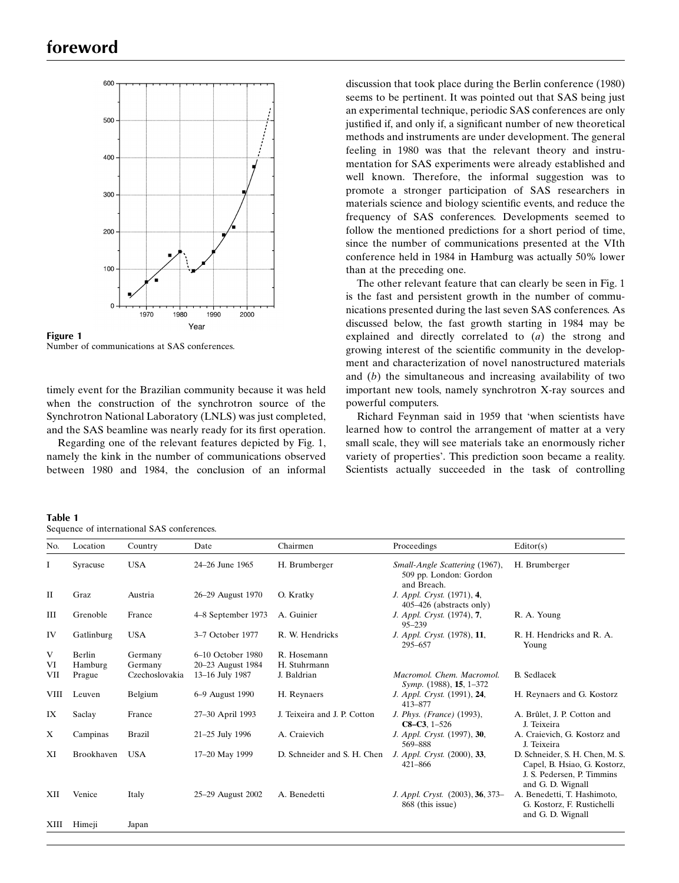

Figure 1 Number of communications at SAS conferences.

timely event for the Brazilian community because it was held when the construction of the synchrotron source of the Synchrotron National Laboratory (LNLS) was just completed, and the SAS beamline was nearly ready for its first operation.

Regarding one of the relevant features depicted by Fig. 1, namely the kink in the number of communications observed between 1980 and 1984, the conclusion of an informal

Table 1

discussion that took place during the Berlin conference (1980) seems to be pertinent. It was pointed out that SAS being just an experimental technique, periodic SAS conferences are only justified if, and only if, a significant number of new theoretical methods and instruments are under development. The general feeling in 1980 was that the relevant theory and instrumentation for SAS experiments were already established and well known. Therefore, the informal suggestion was to promote a stronger participation of SAS researchers in materials science and biology scientific events, and reduce the frequency of SAS conferences. Developments seemed to follow the mentioned predictions for a short period of time, since the number of communications presented at the VIth conference held in 1984 in Hamburg was actually 50% lower than at the preceding one.

The other relevant feature that can clearly be seen in Fig. 1 is the fast and persistent growth in the number of communications presented during the last seven SAS conferences. As discussed below, the fast growth starting in 1984 may be explained and directly correlated to (a) the strong and growing interest of the scientific community in the development and characterization of novel nanostructured materials and  $(b)$  the simultaneous and increasing availability of two important new tools, namely synchrotron X-ray sources and powerful computers.

Richard Feynman said in 1959 that `when scientists have learned how to control the arrangement of matter at a very small scale, they will see materials take an enormously richer variety of properties'. This prediction soon became a reality. Scientists actually succeeded in the task of controlling

| Location<br>Chairmen<br>Proceedings<br>Editor(s)<br>Country<br>No.<br>Date<br><b>USA</b><br>1<br>24–26 June 1965<br>H. Brumberger<br>Small-Angle Scattering (1967),<br>H. Brumberger<br>Syracuse<br>509 pp. London: Gordon<br>and Breach.<br>$\mathbf{I}$<br>Graz<br>Austria<br>26-29 August 1970<br>O. Kratky<br>J. Appl. Cryst. (1971), 4,<br>405–426 (abstracts only)<br>III<br>Grenoble<br>A. Guinier<br>J. Appl. Cryst. (1974), 7,<br>France<br>4–8 September 1973<br>R. A. Young<br>$95 - 239$<br>IV<br><b>USA</b><br>R. W. Hendricks<br>J. Appl. Cryst. (1978), 11,<br>Gatlinburg<br>3-7 October 1977<br>R. H. Hendricks and R. A.<br>295-657<br>Young<br>V<br>Berlin<br>6-10 October 1980<br>R. Hosemann<br>Germany<br>VI<br>20-23 August 1984<br>H. Stuhrmann<br>Hamburg<br>Germany<br>Macromol, Chem. Macromol.<br>VII<br>Czechoslovakia<br>13-16 July 1987<br>J. Baldrian<br><b>B.</b> Sedlacek<br>Prague<br>Symp. (1988), 15, 1-372<br>Belgium<br>J. Appl. Cryst. (1991), 24,<br><b>VIII</b><br>6-9 August 1990<br>H. Reynaers<br>H. Reynaers and G. Kostorz<br>Leuven<br>413-877<br>J. Teixeira and J. P. Cotton<br>J. Phys. (France) (1993),<br>IX<br>Saclay<br>27-30 April 1993<br>A. Brûlet, J. P. Cotton and<br>France<br>$C8-C3, 1-526$<br>J. Teixeira<br>X<br>Campinas<br><b>Brazil</b><br>21-25 July 1996<br>A. Craievich<br>J. Appl. Cryst. (1997), 30,<br>A. Craievich, G. Kostorz and<br>569-888<br>J. Teixeira<br><b>USA</b><br>XI<br>Brookhaven<br>D. Schneider and S. H. Chen<br>J. Appl. Cryst. (2000), 33,<br>D. Schneider, S. H. Chen, M. S.<br>17-20 May 1999<br>$421 - 866$<br>Capel, B. Hsiao, G. Kostorz,<br>J. S. Pedersen, P. Timmins<br>and G. D. Wignall<br>J. Appl. Cryst. (2003), 36, 373-<br>XII<br>Venice<br>A. Benedetti<br>A. Benedetti, T. Hashimoto,<br>Italy<br>25-29 August 2002<br>868 (this issue)<br>G. Kostorz, F. Rustichelli | Sequence of international SAS conferences. |  |  |  |  |  |                   |  |
|-----------------------------------------------------------------------------------------------------------------------------------------------------------------------------------------------------------------------------------------------------------------------------------------------------------------------------------------------------------------------------------------------------------------------------------------------------------------------------------------------------------------------------------------------------------------------------------------------------------------------------------------------------------------------------------------------------------------------------------------------------------------------------------------------------------------------------------------------------------------------------------------------------------------------------------------------------------------------------------------------------------------------------------------------------------------------------------------------------------------------------------------------------------------------------------------------------------------------------------------------------------------------------------------------------------------------------------------------------------------------------------------------------------------------------------------------------------------------------------------------------------------------------------------------------------------------------------------------------------------------------------------------------------------------------------------------------------------------------------------------------------------------------------------------------------------------------------------------------------------------------------|--------------------------------------------|--|--|--|--|--|-------------------|--|
|                                                                                                                                                                                                                                                                                                                                                                                                                                                                                                                                                                                                                                                                                                                                                                                                                                                                                                                                                                                                                                                                                                                                                                                                                                                                                                                                                                                                                                                                                                                                                                                                                                                                                                                                                                                                                                                                                   |                                            |  |  |  |  |  |                   |  |
|                                                                                                                                                                                                                                                                                                                                                                                                                                                                                                                                                                                                                                                                                                                                                                                                                                                                                                                                                                                                                                                                                                                                                                                                                                                                                                                                                                                                                                                                                                                                                                                                                                                                                                                                                                                                                                                                                   |                                            |  |  |  |  |  |                   |  |
|                                                                                                                                                                                                                                                                                                                                                                                                                                                                                                                                                                                                                                                                                                                                                                                                                                                                                                                                                                                                                                                                                                                                                                                                                                                                                                                                                                                                                                                                                                                                                                                                                                                                                                                                                                                                                                                                                   |                                            |  |  |  |  |  |                   |  |
|                                                                                                                                                                                                                                                                                                                                                                                                                                                                                                                                                                                                                                                                                                                                                                                                                                                                                                                                                                                                                                                                                                                                                                                                                                                                                                                                                                                                                                                                                                                                                                                                                                                                                                                                                                                                                                                                                   |                                            |  |  |  |  |  |                   |  |
|                                                                                                                                                                                                                                                                                                                                                                                                                                                                                                                                                                                                                                                                                                                                                                                                                                                                                                                                                                                                                                                                                                                                                                                                                                                                                                                                                                                                                                                                                                                                                                                                                                                                                                                                                                                                                                                                                   |                                            |  |  |  |  |  |                   |  |
|                                                                                                                                                                                                                                                                                                                                                                                                                                                                                                                                                                                                                                                                                                                                                                                                                                                                                                                                                                                                                                                                                                                                                                                                                                                                                                                                                                                                                                                                                                                                                                                                                                                                                                                                                                                                                                                                                   |                                            |  |  |  |  |  |                   |  |
|                                                                                                                                                                                                                                                                                                                                                                                                                                                                                                                                                                                                                                                                                                                                                                                                                                                                                                                                                                                                                                                                                                                                                                                                                                                                                                                                                                                                                                                                                                                                                                                                                                                                                                                                                                                                                                                                                   |                                            |  |  |  |  |  |                   |  |
|                                                                                                                                                                                                                                                                                                                                                                                                                                                                                                                                                                                                                                                                                                                                                                                                                                                                                                                                                                                                                                                                                                                                                                                                                                                                                                                                                                                                                                                                                                                                                                                                                                                                                                                                                                                                                                                                                   |                                            |  |  |  |  |  |                   |  |
|                                                                                                                                                                                                                                                                                                                                                                                                                                                                                                                                                                                                                                                                                                                                                                                                                                                                                                                                                                                                                                                                                                                                                                                                                                                                                                                                                                                                                                                                                                                                                                                                                                                                                                                                                                                                                                                                                   |                                            |  |  |  |  |  |                   |  |
|                                                                                                                                                                                                                                                                                                                                                                                                                                                                                                                                                                                                                                                                                                                                                                                                                                                                                                                                                                                                                                                                                                                                                                                                                                                                                                                                                                                                                                                                                                                                                                                                                                                                                                                                                                                                                                                                                   |                                            |  |  |  |  |  |                   |  |
|                                                                                                                                                                                                                                                                                                                                                                                                                                                                                                                                                                                                                                                                                                                                                                                                                                                                                                                                                                                                                                                                                                                                                                                                                                                                                                                                                                                                                                                                                                                                                                                                                                                                                                                                                                                                                                                                                   |                                            |  |  |  |  |  |                   |  |
|                                                                                                                                                                                                                                                                                                                                                                                                                                                                                                                                                                                                                                                                                                                                                                                                                                                                                                                                                                                                                                                                                                                                                                                                                                                                                                                                                                                                                                                                                                                                                                                                                                                                                                                                                                                                                                                                                   |                                            |  |  |  |  |  |                   |  |
|                                                                                                                                                                                                                                                                                                                                                                                                                                                                                                                                                                                                                                                                                                                                                                                                                                                                                                                                                                                                                                                                                                                                                                                                                                                                                                                                                                                                                                                                                                                                                                                                                                                                                                                                                                                                                                                                                   |                                            |  |  |  |  |  | and G. D. Wignall |  |
| Himeji<br>XIII<br>Japan                                                                                                                                                                                                                                                                                                                                                                                                                                                                                                                                                                                                                                                                                                                                                                                                                                                                                                                                                                                                                                                                                                                                                                                                                                                                                                                                                                                                                                                                                                                                                                                                                                                                                                                                                                                                                                                           |                                            |  |  |  |  |  |                   |  |